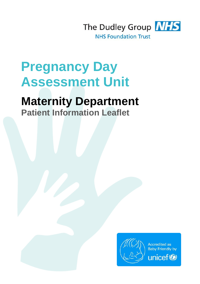

# **Pregnancy Day Assessment Unit**

## **Maternity Department**

**Patient Information Leaflet**

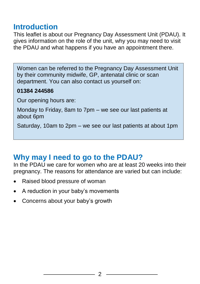#### **Introduction**

This leaflet is about our Pregnancy Day Assessment Unit (PDAU). It gives information on the role of the unit, why you may need to visit the PDAU and what happens if you have an appointment there.

Women can be referred to the Pregnancy Day Assessment Unit by their community midwife, GP, antenatal clinic or scan department. You can also contact us yourself on:

#### **01384 244586**

Our opening hours are:

Monday to Friday, 8am to 7pm – we see our last patients at about 6pm

Saturday, 10am to 2pm – we see our last patients at about 1pm

## **Why may I need to go to the PDAU?**

In the PDAU we care for women who are at least 20 weeks into their pregnancy. The reasons for attendance are varied but can include:

- Raised blood pressure of woman
- A reduction in your baby's movements
- Concerns about your baby's growth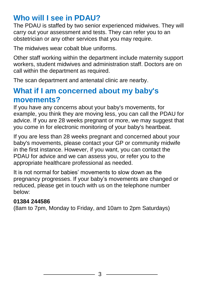## **Who will I see in PDAU?**

The PDAU is staffed by two senior experienced midwives. They will carry out your assessment and tests. They can refer you to an obstetrician or any other services that you may require.

The midwives wear cobalt blue uniforms.

Other staff working within the department include maternity support workers, student midwives and administration staff. Doctors are on call within the department as required.

The scan department and antenatal clinic are nearby.

#### **What if I am concerned about my baby's movements?**

If you have any concerns about your baby's movements, for example, you think they are moving less, you can call the PDAU for advice. If you are 28 weeks pregnant or more, we may suggest that you come in for electronic monitoring of your baby's heartbeat.

If you are less than 28 weeks pregnant and concerned about your baby's movements, please contact your GP or community midwife in the first instance. However, if you want, you can contact the PDAU for advice and we can assess you, or refer you to the appropriate healthcare professional as needed.

It is not normal for babies' movements to slow down as the pregnancy progresses. If your baby's movements are changed or reduced, please get in touch with us on the telephone number below:

#### **01384 244586**

(8am to 7pm, Monday to Friday, and 10am to 2pm Saturdays)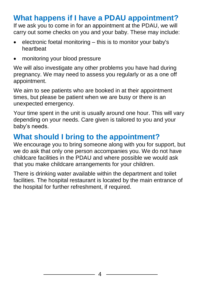#### **What happens if I have a PDAU appointment?**

If we ask you to come in for an appointment at the PDAU, we will carry out some checks on you and your baby. These may include:

- electronic foetal monitoring this is to monitor your baby's heartbeat
- monitoring your blood pressure

We will also investigate any other problems you have had during pregnancy. We may need to assess you regularly or as a one off appointment.

We aim to see patients who are booked in at their appointment times, but please be patient when we are busy or there is an unexpected emergency.

Your time spent in the unit is usually around one hour. This will vary depending on your needs. Care given is tailored to you and your baby's needs.

#### **What should I bring to the appointment?**

We encourage you to bring someone along with you for support, but we do ask that only one person accompanies you. We do not have childcare facilities in the PDAU and where possible we would ask that you make childcare arrangements for your children.

There is drinking water available within the department and toilet facilities. The hospital restaurant is located by the main entrance of the hospital for further refreshment, if required.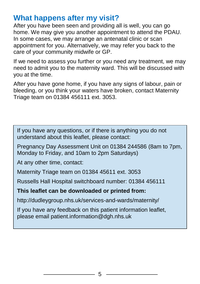#### **What happens after my visit?**

After you have been seen and providing all is well, you can go home. We may give you another appointment to attend the PDAU. In some cases, we may arrange an antenatal clinic or scan appointment for you. Alternatively, we may refer you back to the care of your community midwife or GP.

If we need to assess you further or you need any treatment, we may need to admit you to the maternity ward. This will be discussed with you at the time.

After you have gone home, if you have any signs of labour, pain or bleeding, or you think your waters have broken, contact Maternity Triage team on 01384 456111 ext. 3053.

If you have any questions, or if there is anything you do not understand about this leaflet, please contact:

Pregnancy Day Assessment Unit on 01384 244586 (8am to 7pm, Monday to Friday, and 10am to 2pm Saturdays)

At any other time, contact:

Maternity Triage team on 01384 45611 ext. 3053

Russells Hall Hospital switchboard number: 01384 456111

**This leaflet can be downloaded or printed from:**

http://dudleygroup.nhs.uk/services-and-wards/maternity/

If you have any feedback on this patient information leaflet, please email patient.information@dgh.nhs.uk